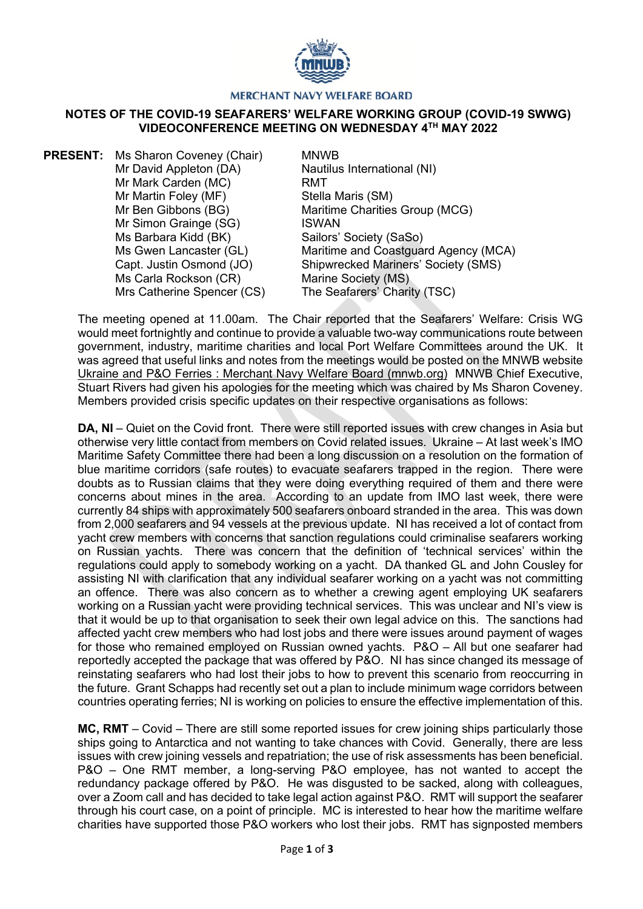

## **MERCHANT NAVY WELFARE BOARD**

## **NOTES OF THE COVID-19 SEAFARERS' WELFARE WORKING GROUP (COVID-19 SWWG) VIDEOCONFERENCE MEETING ON WEDNESDAY 4TH MAY 2022**

**PRESENT:** Ms Sharon Coveney (Chair) Mr David Appleton (DA) Mr Mark Carden (MC) Mr Martin Foley (MF) Mr Ben Gibbons (BG) Mr Simon Grainge (SG) Ms Barbara Kidd (BK) Ms Gwen Lancaster (GL) Capt. Justin Osmond (JO) Ms Carla Rockson (CR) Mrs Catherine Spencer (CS)

MNWB Nautilus International (NI) RMT Stella Maris (SM) Maritime Charities Group (MCG) ISWAN Sailors' Society (SaSo) Maritime and Coastguard Agency (MCA) Shipwrecked Mariners' Society (SMS) Marine Society (MS) The Seafarers' Charity (TSC)

The meeting opened at 11.00am. The Chair reported that the Seafarers' Welfare: Crisis WG would meet fortnightly and continue to provide a valuable two-way communications route between government, industry, maritime charities and local Port Welfare Committees around the UK. It was agreed that useful links and notes from the meetings would be posted on the MNWB website [Ukraine and P&O Ferries : Merchant Navy Welfare Board \(mnwb.org\)](https://www.mnwb.org/ukraineandpoferries) MNWB Chief Executive, Stuart Rivers had given his apologies for the meeting which was chaired by Ms Sharon Coveney. Members provided crisis specific updates on their respective organisations as follows:

**DA, NI** – Quiet on the Covid front. There were still reported issues with crew changes in Asia but otherwise very little contact from members on Covid related issues. Ukraine – At last week's IMO Maritime Safety Committee there had been a long discussion on a resolution on the formation of blue maritime corridors (safe routes) to evacuate seafarers trapped in the region. There were doubts as to Russian claims that they were doing everything required of them and there were concerns about mines in the area. According to an update from IMO last week, there were currently 84 ships with approximately 500 seafarers onboard stranded in the area. This was down from 2,000 seafarers and 94 vessels at the previous update. NI has received a lot of contact from yacht crew members with concerns that sanction regulations could criminalise seafarers working on Russian yachts. There was concern that the definition of 'technical services' within the regulations could apply to somebody working on a yacht. DA thanked GL and John Cousley for assisting NI with clarification that any individual seafarer working on a yacht was not committing an offence. There was also concern as to whether a crewing agent employing UK seafarers working on a Russian yacht were providing technical services. This was unclear and NI's view is that it would be up to that organisation to seek their own legal advice on this. The sanctions had affected yacht crew members who had lost jobs and there were issues around payment of wages for those who remained employed on Russian owned yachts. P&O – All but one seafarer had reportedly accepted the package that was offered by P&O. NI has since changed its message of reinstating seafarers who had lost their jobs to how to prevent this scenario from reoccurring in the future. Grant Schapps had recently set out a plan to include minimum wage corridors between countries operating ferries; NI is working on policies to ensure the effective implementation of this.

**MC, RMT** – Covid – There are still some reported issues for crew joining ships particularly those ships going to Antarctica and not wanting to take chances with Covid. Generally, there are less issues with crew joining vessels and repatriation; the use of risk assessments has been beneficial. P&O – One RMT member, a long-serving P&O employee, has not wanted to accept the redundancy package offered by P&O. He was disgusted to be sacked, along with colleagues, over a Zoom call and has decided to take legal action against P&O. RMT will support the seafarer through his court case, on a point of principle. MC is interested to hear how the maritime welfare charities have supported those P&O workers who lost their jobs. RMT has signposted members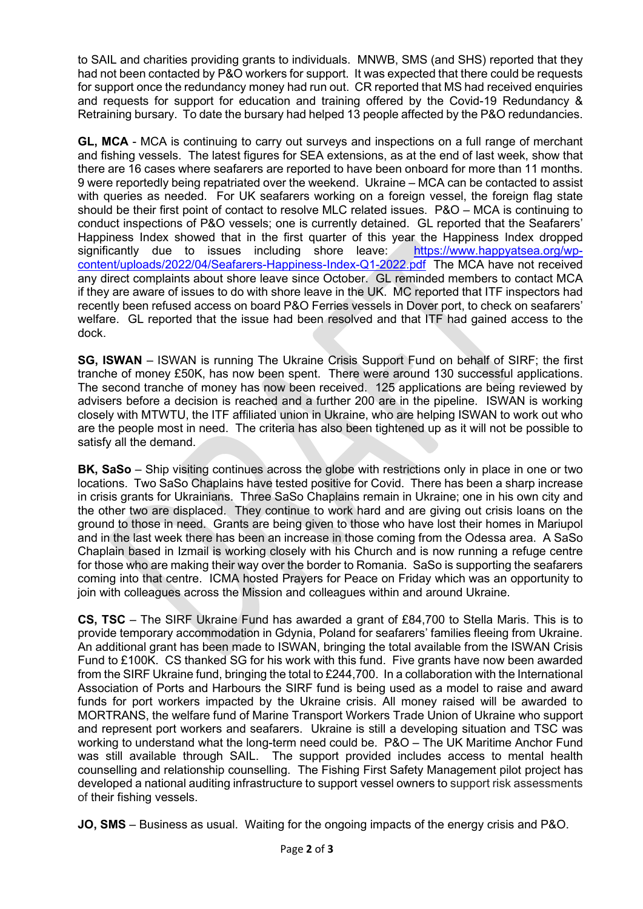to SAIL and charities providing grants to individuals. MNWB, SMS (and SHS) reported that they had not been contacted by P&O workers for support. It was expected that there could be requests for support once the redundancy money had run out. CR reported that MS had received enquiries and requests for support for education and training offered by the Covid-19 Redundancy & Retraining bursary. To date the bursary had helped 13 people affected by the P&O redundancies.

**GL, MCA** - MCA is continuing to carry out surveys and inspections on a full range of merchant and fishing vessels. The latest figures for SEA extensions, as at the end of last week, show that there are 16 cases where seafarers are reported to have been onboard for more than 11 months. 9 were reportedly being repatriated over the weekend. Ukraine – MCA can be contacted to assist with queries as needed. For UK seafarers working on a foreign vessel, the foreign flag state should be their first point of contact to resolve MLC related issues. P&O – MCA is continuing to conduct inspections of P&O vessels; one is currently detained. GL reported that the Seafarers' Happiness Index showed that in the first quarter of this year the Happiness Index dropped significantly due to issues including shore leave: [https://www.happyatsea.org/wp](https://www.happyatsea.org/wp-content/uploads/2022/04/Seafarers-Happiness-Index-Q1-2022.pdf)[content/uploads/2022/04/Seafarers-Happiness-Index-Q1-2022.pdf](https://www.happyatsea.org/wp-content/uploads/2022/04/Seafarers-Happiness-Index-Q1-2022.pdf) The MCA have not received any direct complaints about shore leave since October. GL reminded members to contact MCA if they are aware of issues to do with shore leave in the UK. MC reported that ITF inspectors had recently been refused access on board P&O Ferries vessels in Dover port, to check on seafarers' welfare. GL reported that the issue had been resolved and that ITF had gained access to the dock.

**SG, ISWAN** – ISWAN is running The Ukraine Crisis Support Fund on behalf of SIRF; the first tranche of money £50K, has now been spent. There were around 130 successful applications. The second tranche of money has now been received. 125 applications are being reviewed by advisers before a decision is reached and a further 200 are in the pipeline. ISWAN is working closely with MTWTU, the ITF affiliated union in Ukraine, who are helping ISWAN to work out who are the people most in need. The criteria has also been tightened up as it will not be possible to satisfy all the demand.

**BK, SaSo** – Ship visiting continues across the globe with restrictions only in place in one or two locations. Two SaSo Chaplains have tested positive for Covid. There has been a sharp increase in crisis grants for Ukrainians. Three SaSo Chaplains remain in Ukraine; one in his own city and the other two are displaced. They continue to work hard and are giving out crisis loans on the ground to those in need. Grants are being given to those who have lost their homes in Mariupol and in the last week there has been an increase in those coming from the Odessa area. A SaSo Chaplain based in Izmail is working closely with his Church and is now running a refuge centre for those who are making their way over the border to Romania. SaSo is supporting the seafarers coming into that centre. ICMA hosted Prayers for Peace on Friday which was an opportunity to join with colleagues across the Mission and colleagues within and around Ukraine.

**CS, TSC** – The SIRF Ukraine Fund has awarded a grant of £84,700 to Stella Maris. This is to provide temporary accommodation in Gdynia, Poland for seafarers' families fleeing from Ukraine. An additional grant has been made to ISWAN, bringing the total available from the ISWAN Crisis Fund to £100K. CS thanked SG for his work with this fund. Five grants have now been awarded from the SIRF Ukraine fund, bringing the total to £244,700. In a collaboration with the International Association of Ports and Harbours the SIRF fund is being used as a model to raise and award funds for port workers impacted by the Ukraine crisis. All money raised will be awarded to MORTRANS, the welfare fund of Marine Transport Workers Trade Union of Ukraine who support and represent port workers and seafarers. Ukraine is still a developing situation and TSC was working to understand what the long-term need could be. P&O – The UK Maritime Anchor Fund was still available through SAIL. The support provided includes access to mental health counselling and relationship counselling. The Fishing First Safety Management pilot project has developed a national auditing infrastructure to support vessel owners to support risk assessments of their fishing vessels.

**JO, SMS** – Business as usual. Waiting for the ongoing impacts of the energy crisis and P&O.